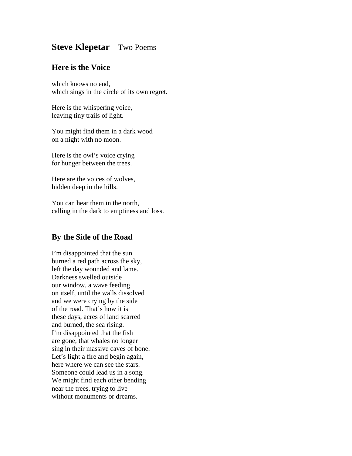## **Steve Klepetar** – Two Poems

## **Here is the Voice**

which knows no end, which sings in the circle of its own regret.

Here is the whispering voice, leaving tiny trails of light.

You might find them in a dark wood on a night with no moon.

Here is the owl's voice crying for hunger between the trees.

Here are the voices of wolves, hidden deep in the hills.

You can hear them in the north, calling in the dark to emptiness and loss.

## **By the Side of the Road**

I'm disappointed that the sun burned a red path across the sky, left the day wounded and lame. Darkness swelled outside our window, a wave feeding on itself, until the walls dissolved and we were crying by the side of the road. That's how it is these days, acres of land scarred and burned, the sea rising. I'm disappointed that the fish are gone, that whales no longer sing in their massive caves of bone. Let's light a fire and begin again, here where we can see the stars. Someone could lead us in a song. We might find each other bending near the trees, trying to live without monuments or dreams.